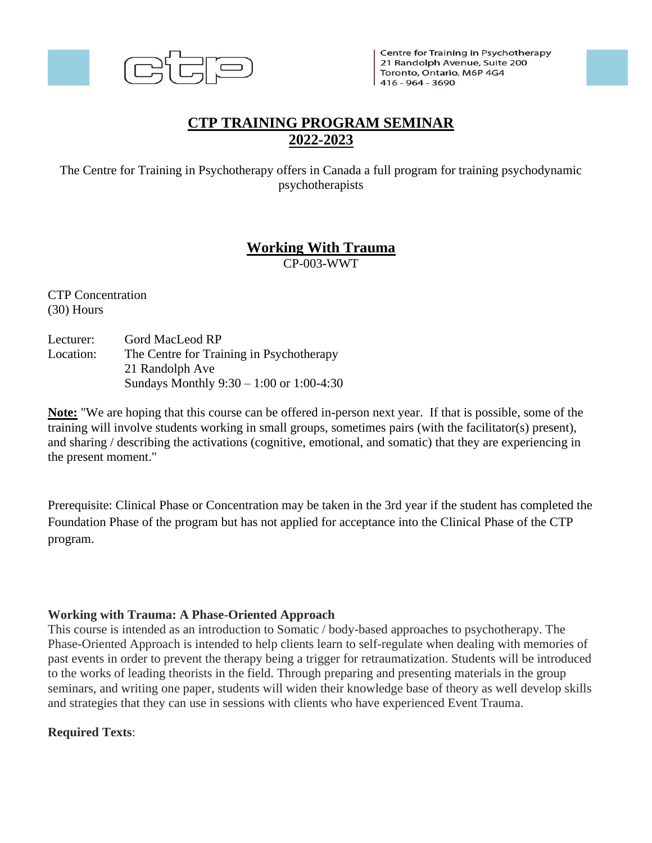

Centre for Training in Psychotherapy 21 Randolph Avenue, Suite 200 Toronto, Ontario, M6P 4G4  $1416 - 964 - 3690$ 

# **CTP TRAINING PROGRAM SEMINAR 2022-2023**

The Centre for Training in Psychotherapy offers in Canada a full program for training psychodynamic psychotherapists

# **Working With Trauma**

CP-003-WWT

CTP Concentration (30) Hours

Lecturer: Gord MacLeod RP Location: The Centre for Training in Psychotherapy 21 Randolph Ave Sundays Monthly 9:30 – 1:00 or 1:00-4:30

**Note:** "We are hoping that this course can be offered in-person next year. If that is possible, some of the training will involve students working in small groups, sometimes pairs (with the facilitator(s) present), and sharing / describing the activations (cognitive, emotional, and somatic) that they are experiencing in the present moment."

Prerequisite: Clinical Phase or Concentration may be taken in the 3rd year if the student has completed the Foundation Phase of the program but has not applied for acceptance into the Clinical Phase of the CTP program.

## **Working with Trauma: A Phase-Oriented Approach**

This course is intended as an introduction to Somatic / body-based approaches to psychotherapy. The Phase-Oriented Approach is intended to help clients learn to self-regulate when dealing with memories of past events in order to prevent the therapy being a trigger for retraumatization. Students will be introduced to the works of leading theorists in the field. Through preparing and presenting materials in the group seminars, and writing one paper, students will widen their knowledge base of theory as well develop skills and strategies that they can use in sessions with clients who have experienced Event Trauma.

## **Required Texts**: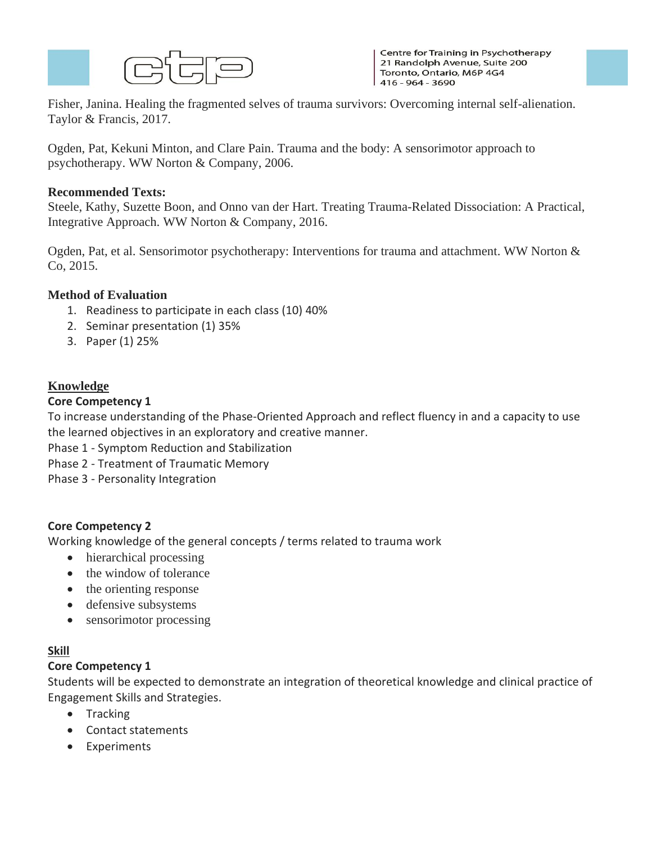

Centre for Training in Psychotherapy 21 Randolph Avenue, Suite 200 Toronto, Ontario, M6P 4G4  $1416 - 964 - 3690$ 

Fisher, Janina. Healing the fragmented selves of trauma survivors: Overcoming internal self-alienation. Taylor & Francis, 2017.

Ogden, Pat, Kekuni Minton, and Clare Pain. Trauma and the body: A sensorimotor approach to psychotherapy. WW Norton & Company, 2006.

### **Recommended Texts:**

Steele, Kathy, Suzette Boon, and Onno van der Hart. Treating Trauma-Related Dissociation: A Practical, Integrative Approach. WW Norton & Company, 2016.

Ogden, Pat, et al. Sensorimotor psychotherapy: Interventions for trauma and attachment. WW Norton & Co, 2015.

### **Method of Evaluation**

- 1. Readiness to participate in each class (10) 40%
- 2. Seminar presentation (1) 35%
- 3. Paper (1) 25%

## **Knowledge**

#### **Core Competency 1**

To increase understanding of the Phase-Oriented Approach and reflect fluency in and a capacity to use the learned objectives in an exploratory and creative manner.

- Phase 1 Symptom Reduction and Stabilization
- Phase 2 Treatment of Traumatic Memory
- Phase 3 Personality Integration

#### **Core Competency 2**

Working knowledge of the general concepts / terms related to trauma work

- hierarchical processing
- the window of tolerance
- the orienting response
- defensive subsystems
- sensorimotor processing

## **Skill**

#### **Core Competency 1**

Students will be expected to demonstrate an integration of theoretical knowledge and clinical practice of Engagement Skills and Strategies.

- Tracking
- Contact statements
- Experiments